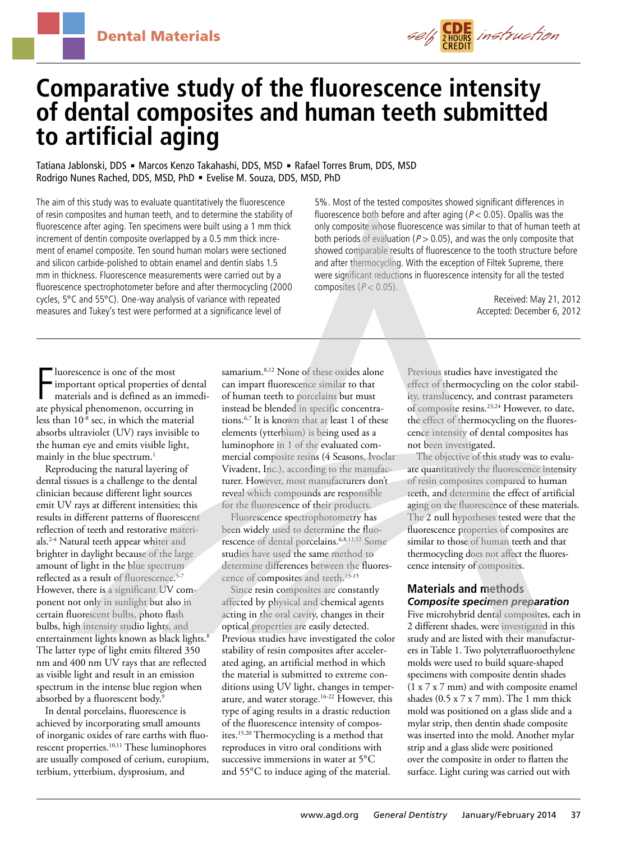

# **Comparative study of the fluorescence intensity of dental composites and human teeth submitted to artificial aging**

Tatiana Jablonski, DDS · Marcos Kenzo Takahashi, DDS, MSD · Rafael Torres Brum, DDS, MSD Rodrigo Nunes Rached, DDS, MSD, PhD · Evelise M. Souza, DDS, MSD, PhD

The aim of this study was to evaluate quantitatively the fluorescence of resin composites and human teeth, and to determine the stability of fluorescence after aging. Ten specimens were built using a 1 mm thick increment of dentin composite overlapped by a 0.5 mm thick increment of enamel composite. Ten sound human molars were sectioned and silicon carbide-polished to obtain enamel and dentin slabs 1.5 mm in thickness. Fluorescence measurements were carried out by a fluorescence spectrophotometer before and after thermocycling (2000 cycles, 5°C and 55°C). One-way analysis of variance with repeated measures and Tukey's test were performed at a significance level of

5%. Most of the tested composites showed significant differences in fluorescence both before and after aging ( $P < 0.05$ ). Opallis was the only composite whose fluorescence was similar to that of human teeth at both periods of evaluation ( $P > 0.05$ ), and was the only composite that showed comparable results of fluorescence to the tooth structure before and after thermocycling. With the exception of Filtek Supreme, there were significant reductions in fluorescence intensity for all the tested composites ( $P < 0.05$ ).

> Received: May 21, 2012 Accepted: December 6, 2012

Fluorescence is one of the most<br>important optical properties of den<br>materials and is defined as an imme<br>ate physical phenomenon, occurring in luorescence is one of the most important optical properties of dental materials and is defined as an immediless than 10-8 sec, in which the material absorbs ultraviolet (UV) rays invisible to the human eye and emits visible light, mainly in the blue spectrum. $<sup>1</sup>$ </sup>

Reproducing the natural layering of dental tissues is a challenge to the dental clinician because different light sources emit UV rays at different intensities; this results in different patterns of fluorescent reflection of teeth and restorative materials.2-4 Natural teeth appear whiter and brighter in daylight because of the large amount of light in the blue spectrum reflected as a result of fluorescence.<sup>5-7</sup> However, there is a significant UV component not only in sunlight but also in certain fluorescent bulbs, photo flash bulbs, high intensity studio lights, and entertainment lights known as black lights.<sup>8</sup> The latter type of light emits filtered 350 nm and 400 nm UV rays that are reflected as visible light and result in an emission spectrum in the intense blue region when absorbed by a fluorescent body.<sup>9</sup>

In dental porcelains, fluorescence is achieved by incorporating small amounts of inorganic oxides of rare earths with fluorescent properties.<sup>10,11</sup> These luminophores are usually composed of cerium, europium, terbium, ytterbium, dysprosium, and

samarium.<sup>8,12</sup> None of these oxides alone can impart fluorescence similar to that of human teeth to porcelains but must instead be blended in specific concentrations.6,7 It is known that at least 1 of these elements (ytterbium) is being used as a luminophore in 1 of the evaluated commercial composite resins (4 Seasons, Ivoclar Vivadent, Inc.), according to the manufacturer. However, most manufacturers don't reveal which compounds are responsible for the fluorescence of their products.

Fluorescence spectrophotometry has been widely used to determine the fluorescence of dental porcelains.6,8,11,12 Some studies have used the same method to determine differences between the fluorescence of composites and teeth.13-15

Since resin composites are constantly affected by physical and chemical agents acting in the oral cavity, changes in their optical properties are easily detected. Previous studies have investigated the color stability of resin composites after accelerated aging, an artificial method in which the material is submitted to extreme conditions using UV light, changes in temperature, and water storage.16-22 However, this type of aging results in a drastic reduction of the fluorescence intensity of composites.15,20 Thermocycling is a method that reproduces in vitro oral conditions with successive immersions in water at 5°C and 55°C to induce aging of the material.

Previous studies have investigated the effect of thermocycling on the color stability, translucency, and contrast parameters of composite resins.23,24 However, to date, the effect of thermocycling on the fluorescence intensity of dental composites has not been investigated.

The objective of this study was to evaluate quantitatively the fluorescence intensity of resin composites compared to human teeth, and determine the effect of artificial aging on the fluorescence of these materials. The 2 null hypotheses tested were that the fluorescence properties of composites are similar to those of human teeth and that thermocycling does not affect the fluorescence intensity of composites.

## **Materials and methods** *Composite specimen preparation*

Five microhybrid dental composites, each in 2 different shades, were investigated in this study and are listed with their manufacturers in Table 1. Two polytetrafluoroethylene molds were used to build square-shaped specimens with composite dentin shades (1 x 7 x 7 mm) and with composite enamel shades (0.5 x 7 x 7 mm). The 1 mm thick mold was positioned on a glass slide and a mylar strip, then dentin shade composite was inserted into the mold. Another mylar strip and a glass slide were positioned over the composite in order to flatten the surface. Light curing was carried out with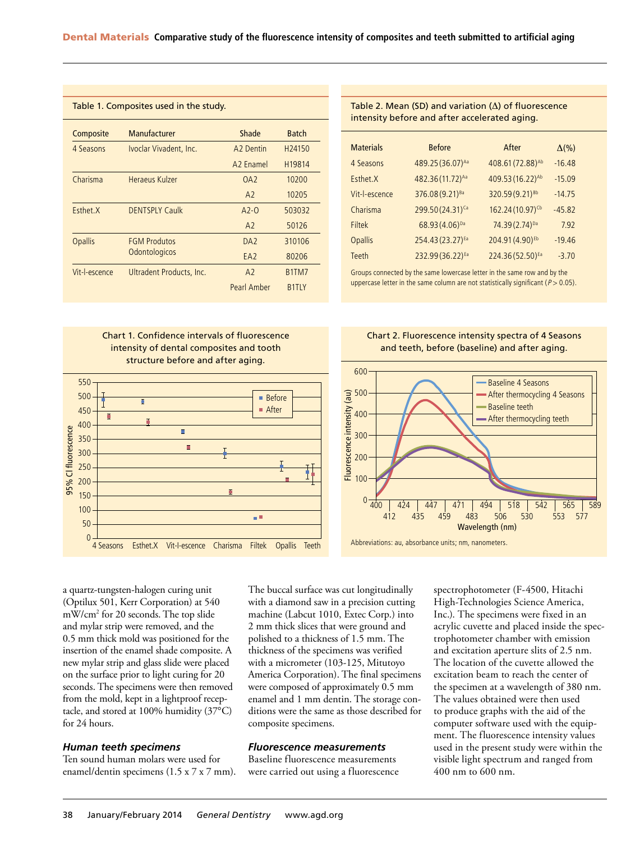| Table 1. Composites used in the study. |                                      |                       |                                |  |  |
|----------------------------------------|--------------------------------------|-----------------------|--------------------------------|--|--|
| Composite                              | Manufacturer                         | Shade                 | <b>Batch</b>                   |  |  |
| 4 Seasons                              | Ivoclar Vivadent, Inc.               | A <sub>2</sub> Dentin | H <sub>24150</sub>             |  |  |
|                                        |                                      | A <sub>2</sub> Fnamel | H19814                         |  |  |
| Charisma                               | Heraeus Kulzer                       | OA2                   | 10200                          |  |  |
|                                        |                                      | A2                    | 10205                          |  |  |
| Esthet.X                               | <b>DENTSPLY Caulk</b>                | $A2-0$                | 503032                         |  |  |
|                                        |                                      | A <sub>2</sub>        | 50126                          |  |  |
| <b>Opallis</b>                         | <b>FGM Produtos</b><br>Odontologicos | DA <sub>2</sub>       | 310106                         |  |  |
|                                        |                                      | EA <sub>2</sub>       | 80206                          |  |  |
| Vit-l-escence                          | Ultradent Products, Inc.             | A <sub>2</sub>        | B <sub>1</sub> TM <sub>7</sub> |  |  |
|                                        |                                      | <b>Pearl Amber</b>    | <b>B1TLY</b>                   |  |  |

Table 2. Mean (SD) and variation (Δ) of fluorescence intensity before and after accelerated aging.

| <b>Materials</b> | <b>Before</b>                | After                        | $\Delta(\% )$ |
|------------------|------------------------------|------------------------------|---------------|
| 4 Seasons        | 489.25 (36.07) <sup>Aa</sup> | 408.61 (72.88) <sup>Ab</sup> | $-16.48$      |
| Esthet.X         | 482.36 (11.72) <sup>Aa</sup> | 409.53 (16.22) <sup>Ab</sup> | $-15.09$      |
| Vit-l-escence    | 376.08 (9.21) <sup>Ba</sup>  | 320.59 (9.21) <sup>Bb</sup>  | $-14.75$      |
| Charisma         | 299.50 (24.31) <sup>Ca</sup> | 162.24 (10.97) <sup>Cb</sup> | $-45.82$      |
| <b>Filtek</b>    | 68.93 (4.06) <sup>Da</sup>   | 74.39(2.74) <sup>Da</sup>    | 7.92          |
| <b>Opallis</b>   | 254.43 (23.27) <sup>Ea</sup> | 204.91 (4.90) <sup>Eb</sup>  | $-19.46$      |
| <b>Teeth</b>     | 232.99 (36.22) Ea            | 224.36 (52.50) Ea            | $-3.70$       |

Groups connected by the same lowercase letter in the same row and by the uppercase letter in the same column are not statistically significant ( $P > 0.05$ ).

Chart 1. Confidence intervals of fluorescence intensity of dental composites and tooth structure before and after aging.



Chart 2. Fluorescence intensity spectra of 4 Seasons and teeth, before (baseline) and after aging.



Abbreviations: au, absorbance units; nm, nanometers.

a quartz-tungsten-halogen curing unit (Optilux 501, Kerr Corporation) at 540 mW/cm2 for 20 seconds. The top slide and mylar strip were removed, and the 0.5 mm thick mold was positioned for the insertion of the enamel shade composite. A new mylar strip and glass slide were placed on the surface prior to light curing for 20 seconds. The specimens were then removed from the mold, kept in a lightproof receptacle, and stored at 100% humidity (37°C) for 24 hours.

#### *Human teeth specimens*

Ten sound human molars were used for enamel/dentin specimens (1.5 x 7 x 7 mm). The buccal surface was cut longitudinally with a diamond saw in a precision cutting machine (Labcut 1010, Extec Corp.) into 2 mm thick slices that were ground and polished to a thickness of 1.5 mm. The thickness of the specimens was verified with a micrometer (103-125, Mitutoyo America Corporation). The final specimens were composed of approximately 0.5 mm enamel and 1 mm dentin. The storage conditions were the same as those described for composite specimens.

#### *Fluorescence measurements*

Baseline fluorescence measurements were carried out using a fluorescence spectrophotometer (F-4500, Hitachi High-Technologies Science America, Inc.). The specimens were fixed in an acrylic cuvette and placed inside the spectrophotometer chamber with emission and excitation aperture slits of 2.5 nm. The location of the cuvette allowed the excitation beam to reach the center of the specimen at a wavelength of 380 nm. The values obtained were then used to produce graphs with the aid of the computer software used with the equipment. The fluorescence intensity values used in the present study were within the visible light spectrum and ranged from 400 nm to 600 nm.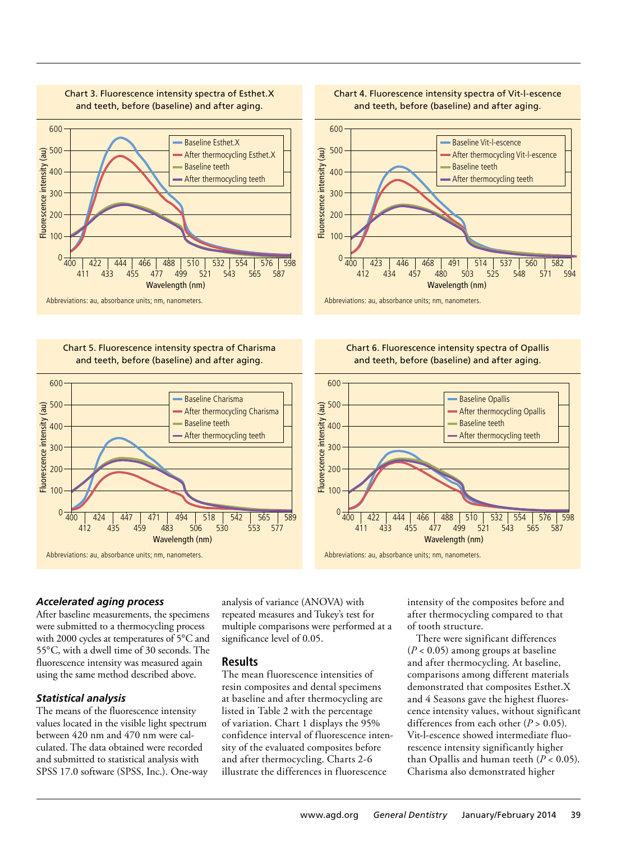

Chart 3. Fluorescence intensity spectra of Esthet.X

Chart 5. Fluorescence intensity spectra of Charisma and teeth, before (baseline) and after aging.



Chart 4. Fluorescence intensity spectra of Vit-l-escence and teeth, before (baseline) and after aging.







## *Accelerated aging process*

After baseline measurements, the specimens were submitted to a thermocycling process with 2000 cycles at temperatures of 5°C and 55°C, with a dwell time of 30 seconds. The fluorescence intensity was measured again using the same method described above.

#### *Statistical analysis*

The means of the fluorescence intensity values located in the visible light spectrum between 420 nm and 470 nm were calculated. The data obtained were recorded and submitted to statistical analysis with SPSS 17.0 software (SPSS, Inc.). One-way analysis of variance (ANOVA) with repeated measures and Tukey's test for multiple comparisons were performed at a significance level of 0.05.

#### **Results**

The mean fluorescence intensities of resin composites and dental specimens at baseline and after thermocycling are listed in Table 2 with the percentage of variation. Chart 1 displays the 95% confidence interval of fluorescence intensity of the evaluated composites before and after thermocycling. Charts 2-6 illustrate the differences in fluorescence

intensity of the composites before and after thermocycling compared to that of tooth structure.

There were significant differences  $(P < 0.05)$  among groups at baseline and after thermocycling. At baseline, comparisons among different materials demonstrated that composites Esthet.X and 4 Seasons gave the highest fluorescence intensity values, without significant differences from each other  $(P > 0.05)$ . Vit-l-escence showed intermediate fluorescence intensity significantly higher than Opallis and human teeth  $(P < 0.05)$ . Charisma also demonstrated higher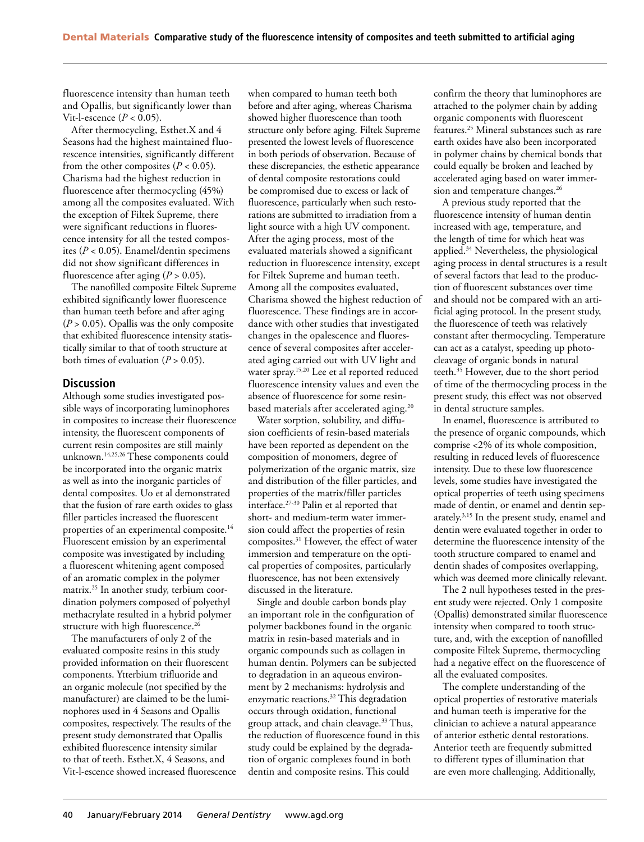fluorescence intensity than human teeth and Opallis, but significantly lower than Vit-l-escence  $(P < 0.05)$ .

After thermocycling, Esthet.X and 4 Seasons had the highest maintained fluorescence intensities, significantly different from the other composites  $(P < 0.05)$ . Charisma had the highest reduction in fluorescence after thermocycling (45%) among all the composites evaluated. With the exception of Filtek Supreme, there were significant reductions in fluorescence intensity for all the tested composites (*P* < 0.05). Enamel/dentin specimens did not show significant differences in fluorescence after aging  $(P > 0.05)$ .

The nanofilled composite Filtek Supreme exhibited significantly lower fluorescence than human teeth before and after aging  $(P > 0.05)$ . Opallis was the only composite that exhibited fluorescence intensity statistically similar to that of tooth structure at both times of evaluation  $(P > 0.05)$ .

#### **Discussion**

Although some studies investigated possible ways of incorporating luminophores in composites to increase their fluorescence intensity, the fluorescent components of current resin composites are still mainly unknown.14,25,26 These components could be incorporated into the organic matrix as well as into the inorganic particles of dental composites. Uo et al demonstrated that the fusion of rare earth oxides to glass filler particles increased the fluorescent properties of an experimental composite.<sup>14</sup> Fluorescent emission by an experimental composite was investigated by including a fluorescent whitening agent composed of an aromatic complex in the polymer matrix.25 In another study, terbium coordination polymers composed of polyethyl methacrylate resulted in a hybrid polymer structure with high fluorescence.<sup>26</sup>

The manufacturers of only 2 of the evaluated composite resins in this study provided information on their fluorescent components. Ytterbium trifluoride and an organic molecule (not specified by the manufacturer) are claimed to be the luminophores used in 4 Seasons and Opallis composites, respectively. The results of the present study demonstrated that Opallis exhibited fluorescence intensity similar to that of teeth. Esthet.X, 4 Seasons, and Vit-l-escence showed increased fluorescence when compared to human teeth both before and after aging, whereas Charisma showed higher fluorescence than tooth structure only before aging. Filtek Supreme presented the lowest levels of fluorescence in both periods of observation. Because of these discrepancies, the esthetic appearance of dental composite restorations could be compromised due to excess or lack of fluorescence, particularly when such restorations are submitted to irradiation from a light source with a high UV component. After the aging process, most of the evaluated materials showed a significant reduction in fluorescence intensity, except for Filtek Supreme and human teeth. Among all the composites evaluated, Charisma showed the highest reduction of fluorescence. These findings are in accordance with other studies that investigated changes in the opalescence and fluorescence of several composites after accelerated aging carried out with UV light and water spray.<sup>15,20</sup> Lee et al reported reduced fluorescence intensity values and even the absence of fluorescence for some resinbased materials after accelerated aging.<sup>20</sup>

Water sorption, solubility, and diffusion coefficients of resin-based materials have been reported as dependent on the composition of monomers, degree of polymerization of the organic matrix, size and distribution of the filler particles, and properties of the matrix/filler particles interface.27-30 Palin et al reported that short- and medium-term water immersion could affect the properties of resin composites.31 However, the effect of water immersion and temperature on the optical properties of composites, particularly fluorescence, has not been extensively discussed in the literature.

Single and double carbon bonds play an important role in the configuration of polymer backbones found in the organic matrix in resin-based materials and in organic compounds such as collagen in human dentin. Polymers can be subjected to degradation in an aqueous environment by 2 mechanisms: hydrolysis and enzymatic reactions.32 This degradation occurs through oxidation, functional group attack, and chain cleavage.<sup>33</sup> Thus, the reduction of fluorescence found in this study could be explained by the degradation of organic complexes found in both dentin and composite resins. This could

confirm the theory that luminophores are attached to the polymer chain by adding organic components with fluorescent features.25 Mineral substances such as rare earth oxides have also been incorporated in polymer chains by chemical bonds that could equally be broken and leached by accelerated aging based on water immersion and temperature changes.<sup>26</sup>

A previous study reported that the fluorescence intensity of human dentin increased with age, temperature, and the length of time for which heat was applied.34 Nevertheless, the physiological aging process in dental structures is a result of several factors that lead to the production of fluorescent substances over time and should not be compared with an artificial aging protocol. In the present study, the fluorescence of teeth was relatively constant after thermocycling. Temperature can act as a catalyst, speeding up photocleavage of organic bonds in natural teeth.35 However, due to the short period of time of the thermocycling process in the present study, this effect was not observed in dental structure samples.

In enamel, fluorescence is attributed to the presence of organic compounds, which comprise <2% of its whole composition, resulting in reduced levels of fluorescence intensity. Due to these low fluorescence levels, some studies have investigated the optical properties of teeth using specimens made of dentin, or enamel and dentin separately.3,15 In the present study, enamel and dentin were evaluated together in order to determine the fluorescence intensity of the tooth structure compared to enamel and dentin shades of composites overlapping, which was deemed more clinically relevant.

The 2 null hypotheses tested in the present study were rejected. Only 1 composite (Opallis) demonstrated similar fluorescence intensity when compared to tooth structure, and, with the exception of nanofilled composite Filtek Supreme, thermocycling had a negative effect on the fluorescence of all the evaluated composites.

The complete understanding of the optical properties of restorative materials and human teeth is imperative for the clinician to achieve a natural appearance of anterior esthetic dental restorations. Anterior teeth are frequently submitted to different types of illumination that are even more challenging. Additionally,